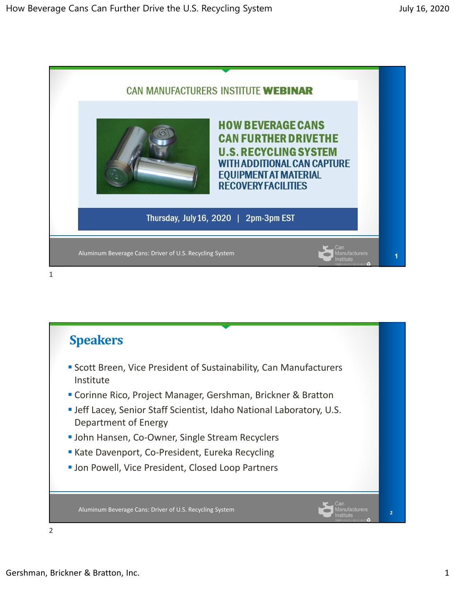

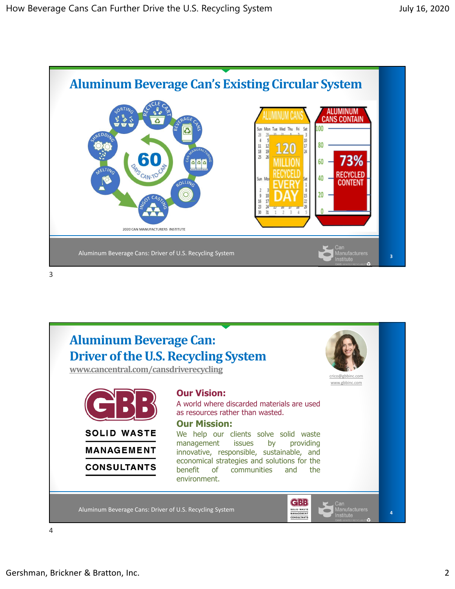





4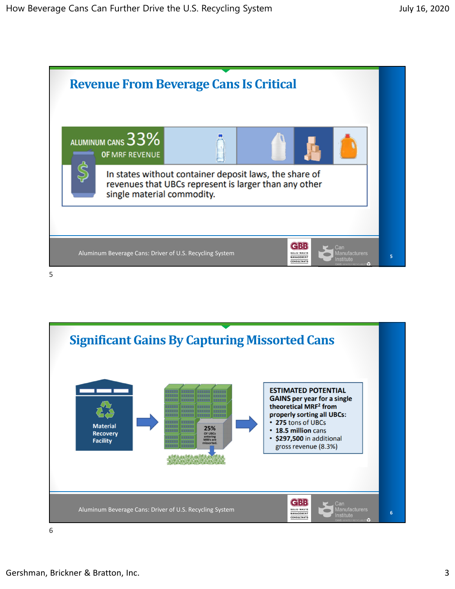



6